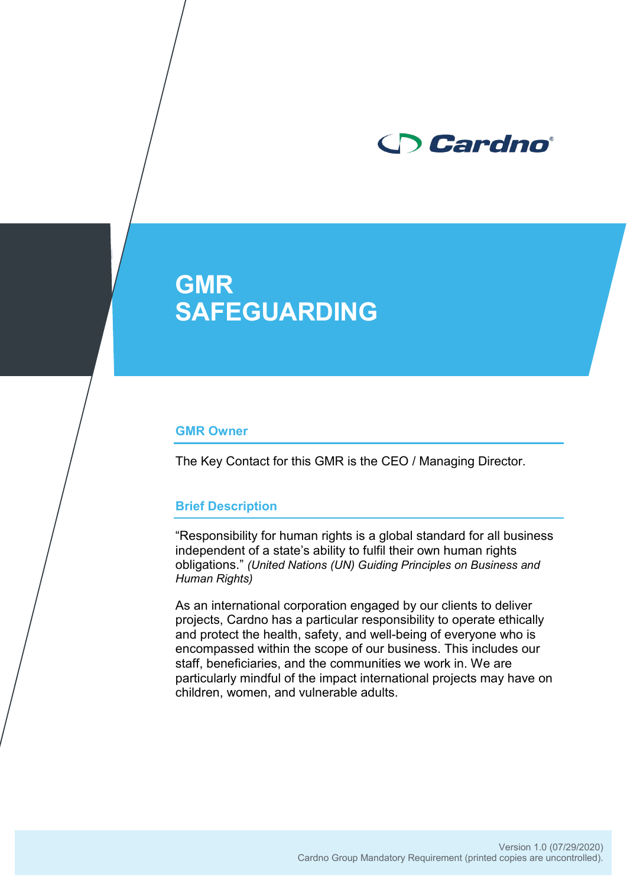

# **GMR SAFEGUARDING**

#### **GMR Owner**

The Key Contact for this GMR is the CEO / Managing Director.

#### **Brief Description**

"Responsibility for human rights is a global standard for all business independent of a state's ability to fulfil their own human rights obligations." *(United Nations (UN) Guiding Principles on Business and Human Rights)*

As an international corporation engaged by our clients to deliver projects, Cardno has a particular responsibility to operate ethically and protect the health, safety, and well-being of everyone who is encompassed within the scope of our business. This includes our staff, beneficiaries, and the communities we work in. We are particularly mindful of the impact international projects may have on children, women, and vulnerable adults.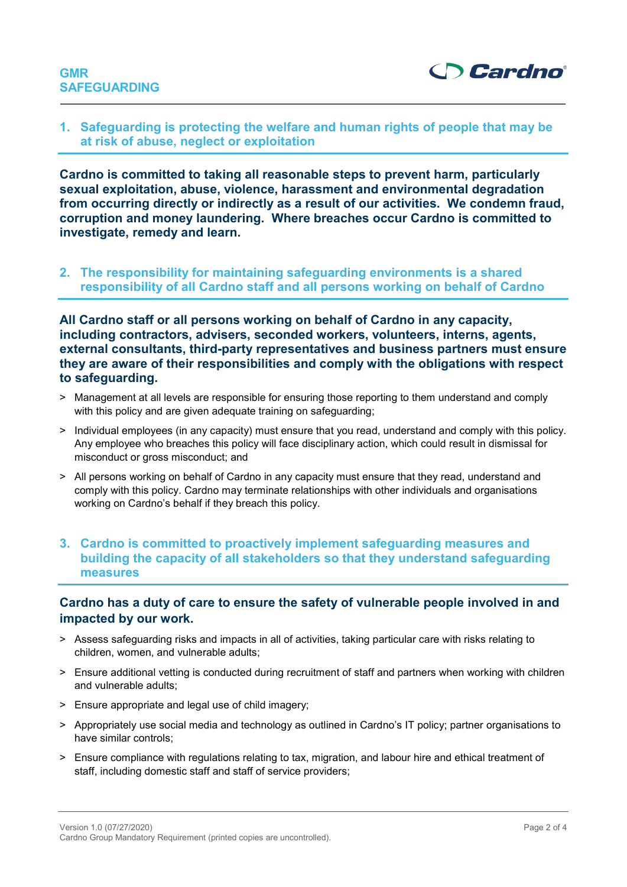



## **1. Safeguarding is protecting the welfare and human rights of people that may be at risk of abuse, neglect or exploitation**

**Cardno is committed to taking all reasonable steps to prevent harm, particularly sexual exploitation, abuse, violence, harassment and environmental degradation from occurring directly or indirectly as a result of our activities. We condemn fraud, corruption and money laundering. Where breaches occur Cardno is committed to investigate, remedy and learn.**

**2. The responsibility for maintaining safeguarding environments is a shared responsibility of all Cardno staff and all persons working on behalf of Cardno** 

**All Cardno staff or all persons working on behalf of Cardno in any capacity, including contractors, advisers, seconded workers, volunteers, interns, agents, external consultants, third-party representatives and business partners must ensure they are aware of their responsibilities and comply with the obligations with respect to safeguarding.**

- > Management at all levels are responsible for ensuring those reporting to them understand and comply with this policy and are given adequate training on safeguarding;
- > Individual employees (in any capacity) must ensure that you read, understand and comply with this policy. Any employee who breaches this policy will face disciplinary action, which could result in dismissal for misconduct or gross misconduct; and
- > All persons working on behalf of Cardno in any capacity must ensure that they read, understand and comply with this policy. Cardno may terminate relationships with other individuals and organisations working on Cardno's behalf if they breach this policy.

# **3. Cardno is committed to proactively implement safeguarding measures and building the capacity of all stakeholders so that they understand safeguarding measures**

# **Cardno has a duty of care to ensure the safety of vulnerable people involved in and impacted by our work.**

- > Assess safeguarding risks and impacts in all of activities, taking particular care with risks relating to children, women, and vulnerable adults;
- > Ensure additional vetting is conducted during recruitment of staff and partners when working with children and vulnerable adults;
- > Ensure appropriate and legal use of child imagery;
- > Appropriately use social media and technology as outlined in Cardno's IT policy; partner organisations to have similar controls;
- > Ensure compliance with regulations relating to tax, migration, and labour hire and ethical treatment of staff, including domestic staff and staff of service providers;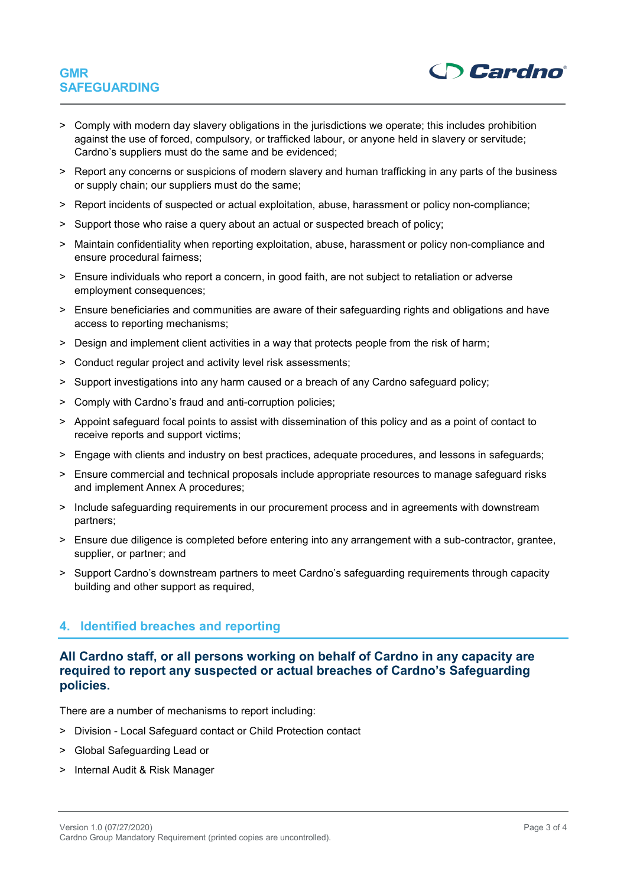# **GMR SAFEGUARDING**



- > Comply with modern day slavery obligations in the jurisdictions we operate; this includes prohibition against the use of forced, compulsory, or trafficked labour, or anyone held in slavery or servitude; Cardno's suppliers must do the same and be evidenced;
- > Report any concerns or suspicions of modern slavery and human trafficking in any parts of the business or supply chain; our suppliers must do the same;
- > Report incidents of suspected or actual exploitation, abuse, harassment or policy non-compliance;
- > Support those who raise a query about an actual or suspected breach of policy;
- > Maintain confidentiality when reporting exploitation, abuse, harassment or policy non-compliance and ensure procedural fairness;
- > Ensure individuals who report a concern, in good faith, are not subject to retaliation or adverse employment consequences;
- > Ensure beneficiaries and communities are aware of their safeguarding rights and obligations and have access to reporting mechanisms;
- > Design and implement client activities in a way that protects people from the risk of harm;
- > Conduct regular project and activity level risk assessments;
- > Support investigations into any harm caused or a breach of any Cardno safeguard policy;
- > Comply with Cardno's fraud and anti-corruption policies;
- > Appoint safeguard focal points to assist with dissemination of this policy and as a point of contact to receive reports and support victims;
- > Engage with clients and industry on best practices, adequate procedures, and lessons in safeguards;
- > Ensure commercial and technical proposals include appropriate resources to manage safeguard risks and implement [Annex](https://cardno1.sharepoint.com/sites/ID/_layouts/15/Doc.aspx?sourcedoc=%7BD5B02129-1D8E-48E8-90EC-B71E1AA3B697%7D&file=Annex%20A_safeguards.docx) A procedures;
- > Include safeguarding requirements in our procurement process and in agreements with downstream partners;
- > Ensure due diligence is completed before entering into any arrangement with a sub-contractor, grantee, supplier, or partner; and
- > Support Cardno's downstream partners to meet Cardno's safeguarding requirements through capacity building and other support as required,

#### **4. Identified breaches and reporting**

## **All Cardno staff, or all persons working on behalf of Cardno in any capacity are required to report any suspected or actual breaches of Cardno's Safeguarding policies.**

There are a number of mechanisms to report including:

- > Division Local Safeguard contact or Child Protection contact
- > Global Safeguarding Lead or
- > Internal Audit & Risk Manager